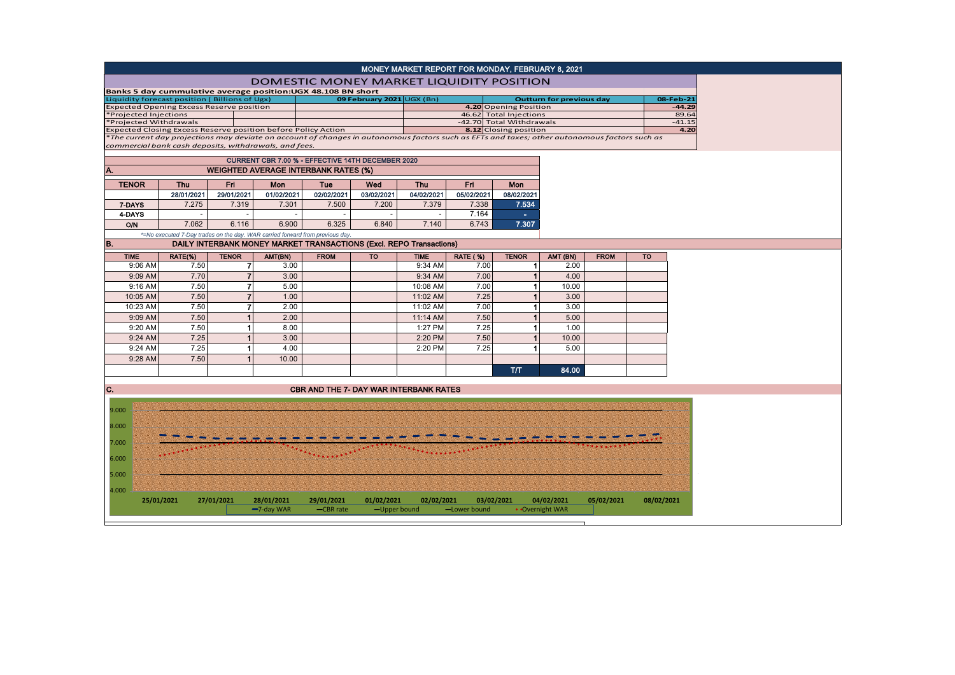| MONEY MARKET REPORT FOR MONDAY, FEBRUARY 8, 2021                                                                                              |                                                                               |                          |            |                                                                     |            |                          |                 |                                                    |                                 |             |           |                   |  |
|-----------------------------------------------------------------------------------------------------------------------------------------------|-------------------------------------------------------------------------------|--------------------------|------------|---------------------------------------------------------------------|------------|--------------------------|-----------------|----------------------------------------------------|---------------------------------|-------------|-----------|-------------------|--|
| <b>DOMESTIC MONEY MARKET LIQUIDITY POSITION</b>                                                                                               |                                                                               |                          |            |                                                                     |            |                          |                 |                                                    |                                 |             |           |                   |  |
| Banks 5 day cummulative average position:UGX 48.108 BN short                                                                                  |                                                                               |                          |            |                                                                     |            |                          |                 |                                                    |                                 |             |           |                   |  |
| Liquidity forecast position (Billions of Ugx)<br>09 February 2021 UGX (Bn)                                                                    |                                                                               |                          |            |                                                                     |            |                          |                 |                                                    | <b>Outturn for previous day</b> |             | 08-Feb-21 |                   |  |
| <b>Expected Opening Excess Reserve position</b><br>*Projected Injections                                                                      |                                                                               |                          |            |                                                                     |            |                          |                 | 4.20 Opening Position                              |                                 |             |           | $-44.29$<br>89.64 |  |
| *Projected Withdrawals                                                                                                                        |                                                                               |                          |            |                                                                     |            |                          |                 | 46.62 Total Injections<br>-42.70 Total Withdrawals |                                 |             |           | $-41.15$          |  |
| Expected Closing Excess Reserve position before Policy Action                                                                                 |                                                                               |                          |            |                                                                     |            |                          |                 | 8.12 Closing position                              |                                 |             |           | 4.20              |  |
| *The current day projections may deviate on account of changes in autonomous factors such as EFTs and taxes; other autonomous factors such as |                                                                               |                          |            |                                                                     |            |                          |                 |                                                    |                                 |             |           |                   |  |
| commercial bank cash deposits, withdrawals, and fees.                                                                                         |                                                                               |                          |            |                                                                     |            |                          |                 |                                                    |                                 |             |           |                   |  |
|                                                                                                                                               | CURRENT CBR 7.00 % - EFFECTIVE 14TH DECEMBER 2020                             |                          |            |                                                                     |            |                          |                 |                                                    |                                 |             |           |                   |  |
| <b>WEIGHTED AVERAGE INTERBANK RATES (%)</b>                                                                                                   |                                                                               |                          |            |                                                                     |            |                          |                 |                                                    |                                 |             |           |                   |  |
| <b>TENOR</b>                                                                                                                                  | <b>Thu</b>                                                                    | Fri.                     | Mon        | Tue                                                                 | Wed        | <b>Thu</b>               | Fri.            | <b>Mon</b>                                         |                                 |             |           |                   |  |
|                                                                                                                                               | 28/01/2021                                                                    | 29/01/2021               | 01/02/2021 | 02/02/2021                                                          | 03/02/2021 | 04/02/2021               | 05/02/2021      | 08/02/2021                                         |                                 |             |           |                   |  |
| 7-DAYS                                                                                                                                        | 7.275                                                                         | 7.319                    | 7.301      | 7.500                                                               | 7.200      | 7.379                    | 7.338           | 7.534                                              |                                 |             |           |                   |  |
| 4-DAYS                                                                                                                                        | $\overline{\phantom{a}}$                                                      | $\overline{\phantom{a}}$ | $\sim$     | $\overline{\phantom{a}}$                                            | $\sim$     | $\overline{\phantom{a}}$ | 7.164           | <b>College</b>                                     |                                 |             |           |                   |  |
| O/N                                                                                                                                           | 7.062                                                                         | 6.116                    | 6.900      | 6.325                                                               | 6.840      | 7.140                    | 6.743           | 7.307                                              |                                 |             |           |                   |  |
|                                                                                                                                               | *=No executed 7-Day trades on the day. WAR carried forward from previous day. |                          |            |                                                                     |            |                          |                 |                                                    |                                 |             |           |                   |  |
| B.                                                                                                                                            |                                                                               |                          |            | DAILY INTERBANK MONEY MARKET TRANSACTIONS (Excl. REPO Transactions) |            |                          |                 |                                                    |                                 |             |           |                   |  |
| <b>TIME</b>                                                                                                                                   | RATE(%)                                                                       | <b>TENOR</b>             | AMT(BN)    | <b>FROM</b>                                                         | <b>TO</b>  | <b>TIME</b>              | <b>RATE (%)</b> | <b>TENOR</b>                                       | AMT (BN)                        | <b>FROM</b> | <b>TO</b> |                   |  |
| 9:06 AM                                                                                                                                       | 7.50                                                                          | 7                        | 3.00       |                                                                     |            | 9:34 AM                  | 7.00            | $\blacktriangleleft$                               | 2.00                            |             |           |                   |  |
| 9:09 AM                                                                                                                                       | 7.70                                                                          | $\overline{7}$           | 3.00       |                                                                     |            | 9:34 AM                  | 7.00            | $\overline{1}$                                     | 4.00                            |             |           |                   |  |
| 9:16 AM                                                                                                                                       | 7.50                                                                          | $\overline{7}$           | 5.00       |                                                                     |            | 10:08 AM                 | 7.00            | $\blacktriangleleft$                               | 10.00                           |             |           |                   |  |
| 10:05 AM                                                                                                                                      | 7.50                                                                          | $\overline{7}$           | 1.00       |                                                                     |            | 11:02 AM                 | 7.25            | $\overline{1}$                                     | 3.00                            |             |           |                   |  |
| 10:23 AM                                                                                                                                      | 7.50                                                                          | $\overline{7}$           | 2.00       |                                                                     |            | 11:02 AM                 | 7.00            | $\blacktriangleleft$                               | 3.00                            |             |           |                   |  |
| 9:09 AM                                                                                                                                       | 7.50                                                                          | $\overline{1}$           | 2.00       |                                                                     |            | 11:14 AM                 | 7.50            | $\mathbf{1}$                                       | 5.00                            |             |           |                   |  |
| 9:20 AM                                                                                                                                       | 7.50                                                                          | $\mathbf{1}$             | 8.00       |                                                                     |            | 1:27 PM                  | 7.25            | $\blacktriangleleft$                               | 1.00                            |             |           |                   |  |
|                                                                                                                                               | 7.25                                                                          | $\overline{1}$           | 3.00       |                                                                     |            |                          | 7.50            | $\overline{1}$                                     | 10.00                           |             |           |                   |  |
| 9:24 AM                                                                                                                                       |                                                                               |                          |            |                                                                     |            | 2:20 PM                  |                 |                                                    |                                 |             |           |                   |  |
| 9:24 AM                                                                                                                                       | 7.25                                                                          | $\blacktriangleleft$     | 4.00       |                                                                     |            | 2:20 PM                  | 7.25            | $\blacktriangleleft$                               | 5.00                            |             |           |                   |  |
| 9:28 AM                                                                                                                                       | 7.50                                                                          |                          | 10.00      |                                                                     |            |                          |                 |                                                    |                                 |             |           |                   |  |
|                                                                                                                                               |                                                                               |                          |            |                                                                     |            |                          |                 | T/T                                                | 84.00                           |             |           |                   |  |
|                                                                                                                                               |                                                                               |                          |            |                                                                     |            |                          |                 |                                                    |                                 |             |           |                   |  |
| C.                                                                                                                                            |                                                                               |                          |            | <b>CBR AND THE 7- DAY WAR INTERBANK RATES</b>                       |            |                          |                 |                                                    |                                 |             |           |                   |  |
|                                                                                                                                               |                                                                               |                          |            |                                                                     |            |                          |                 |                                                    |                                 |             |           |                   |  |
| 9.000                                                                                                                                         |                                                                               |                          |            |                                                                     |            |                          |                 |                                                    |                                 |             |           |                   |  |
|                                                                                                                                               |                                                                               |                          |            |                                                                     |            |                          |                 |                                                    |                                 |             |           |                   |  |
| 8.000                                                                                                                                         |                                                                               |                          |            |                                                                     |            |                          |                 |                                                    |                                 |             |           |                   |  |
| 7.000                                                                                                                                         |                                                                               |                          |            |                                                                     |            |                          |                 |                                                    |                                 |             |           |                   |  |
|                                                                                                                                               |                                                                               |                          |            |                                                                     |            |                          |                 |                                                    |                                 |             |           |                   |  |
| 6.000                                                                                                                                         |                                                                               |                          |            |                                                                     |            |                          |                 |                                                    |                                 |             |           |                   |  |
|                                                                                                                                               |                                                                               |                          |            |                                                                     |            |                          |                 |                                                    |                                 |             |           |                   |  |
| 5.000                                                                                                                                         |                                                                               |                          |            |                                                                     |            |                          |                 |                                                    |                                 |             |           |                   |  |
| 4.000                                                                                                                                         |                                                                               |                          |            |                                                                     |            |                          |                 |                                                    |                                 |             |           |                   |  |
| 27/01/2021<br>04/02/2021<br>08/02/2021<br>25/01/2021<br>28/01/2021<br>29/01/2021<br>01/02/2021<br>02/02/2021<br>03/02/2021<br>05/02/2021      |                                                                               |                          |            |                                                                     |            |                          |                 |                                                    |                                 |             |           |                   |  |
| -7-day WAR<br>• Overnight WAR<br>-CBR rate<br>-Upper bound<br>-Lower bound                                                                    |                                                                               |                          |            |                                                                     |            |                          |                 |                                                    |                                 |             |           |                   |  |
|                                                                                                                                               |                                                                               |                          |            |                                                                     |            |                          |                 |                                                    |                                 |             |           |                   |  |